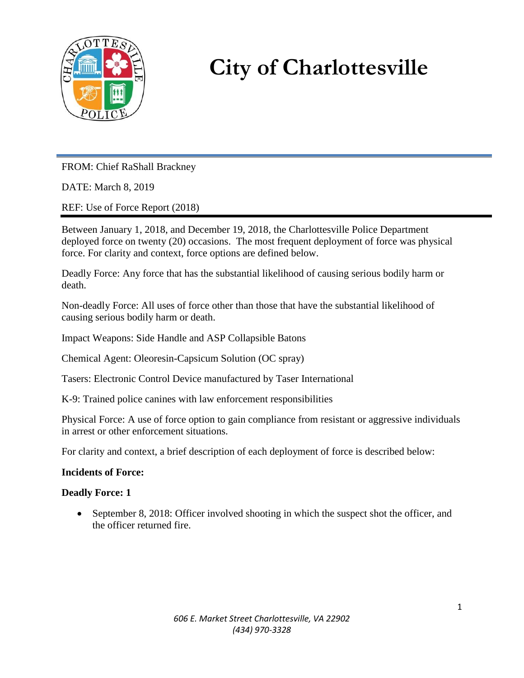

# **City of Charlottesville**

FROM: Chief RaShall Brackney

DATE: March 8, 2019

REF: Use of Force Report (2018)

Between January 1, 2018, and December 19, 2018, the Charlottesville Police Department deployed force on twenty (20) occasions. The most frequent deployment of force was physical force. For clarity and context, force options are defined below.

Deadly Force: Any force that has the substantial likelihood of causing serious bodily harm or death.

Non-deadly Force: All uses of force other than those that have the substantial likelihood of causing serious bodily harm or death.

Impact Weapons: Side Handle and ASP Collapsible Batons

Chemical Agent: Oleoresin-Capsicum Solution (OC spray)

Tasers: Electronic Control Device manufactured by Taser International

K-9: Trained police canines with law enforcement responsibilities

Physical Force: A use of force option to gain compliance from resistant or aggressive individuals in arrest or other enforcement situations.

For clarity and context, a brief description of each deployment of force is described below:

# **Incidents of Force:**

# **Deadly Force: 1**

• September 8, 2018: Officer involved shooting in which the suspect shot the officer, and the officer returned fire.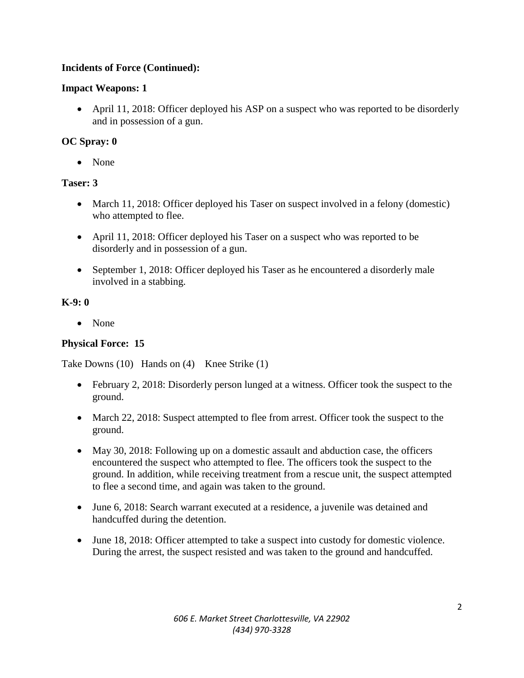# **Incidents of Force (Continued):**

### **Impact Weapons: 1**

 April 11, 2018: Officer deployed his ASP on a suspect who was reported to be disorderly and in possession of a gun.

### **OC Spray: 0**

None

#### **Taser: 3**

- March 11, 2018: Officer deployed his Taser on suspect involved in a felony (domestic) who attempted to flee.
- April 11, 2018: Officer deployed his Taser on a suspect who was reported to be disorderly and in possession of a gun.
- September 1, 2018: Officer deployed his Taser as he encountered a disorderly male involved in a stabbing.

#### **K-9: 0**

• None

# **Physical Force: 15**

Take Downs (10) Hands on (4) Knee Strike (1)

- February 2, 2018: Disorderly person lunged at a witness. Officer took the suspect to the ground.
- March 22, 2018: Suspect attempted to flee from arrest. Officer took the suspect to the ground.
- May 30, 2018: Following up on a domestic assault and abduction case, the officers encountered the suspect who attempted to flee. The officers took the suspect to the ground. In addition, while receiving treatment from a rescue unit, the suspect attempted to flee a second time, and again was taken to the ground.
- June 6, 2018: Search warrant executed at a residence, a juvenile was detained and handcuffed during the detention.
- June 18, 2018: Officer attempted to take a suspect into custody for domestic violence. During the arrest, the suspect resisted and was taken to the ground and handcuffed.